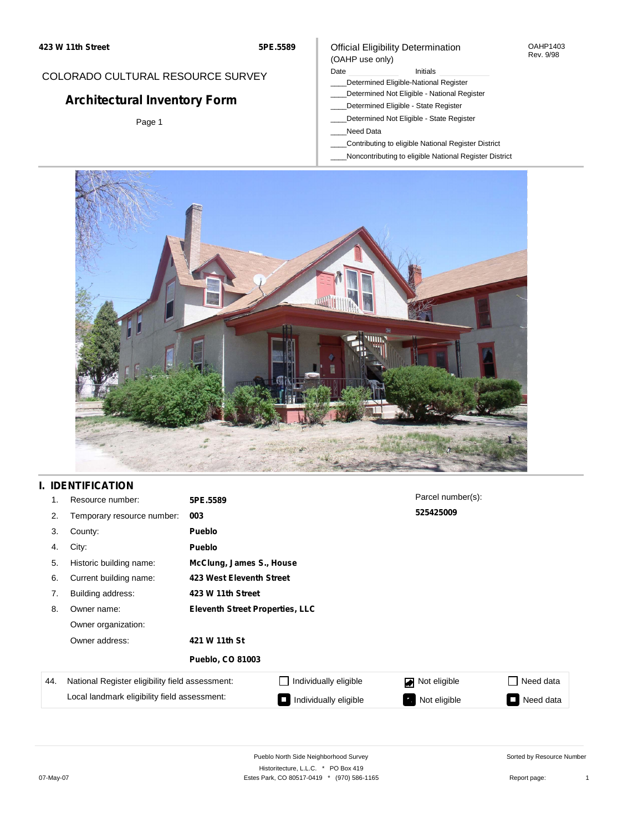#### OAHP1403 Rev. 9/98

## COLORADO CULTURAL RESOURCE SURVEY

# **Architectural Inventory Form**

Page 1

## Official Eligibility Determination (OAHP use only)

## Date **Initials** Initials

- \_\_\_\_Determined Eligible-National Register
- \_\_\_\_Determined Not Eligible National Register
- \_\_\_\_Determined Eligible State Register \_\_\_\_Determined Not Eligible - State Register
- \_\_\_\_Need Data
- 
- \_\_\_\_Contributing to eligible National Register District
- \_\_\_\_Noncontributing to eligible National Register District



## **I. IDENTIFICATION**

| 1.  | Resource number:                                | 5PE.5589                               |                          | Parcel number(s): |                                           |  |  |  |  |
|-----|-------------------------------------------------|----------------------------------------|--------------------------|-------------------|-------------------------------------------|--|--|--|--|
| 2.  | Temporary resource number:                      | 003                                    |                          | 525425009         |                                           |  |  |  |  |
| 3.  | County:                                         | <b>Pueblo</b>                          |                          |                   |                                           |  |  |  |  |
| 4.  | City:                                           | <b>Pueblo</b>                          |                          |                   |                                           |  |  |  |  |
| 5.  | Historic building name:                         |                                        | McClung, James S., House |                   |                                           |  |  |  |  |
| 6.  | Current building name:                          |                                        | 423 West Eleventh Street |                   |                                           |  |  |  |  |
| 7.  | Building address:                               | 423 W 11th Street                      |                          |                   |                                           |  |  |  |  |
| 8.  | Owner name:                                     | <b>Eleventh Street Properties, LLC</b> |                          |                   |                                           |  |  |  |  |
|     | Owner organization:                             |                                        |                          |                   |                                           |  |  |  |  |
|     | Owner address:                                  | 421 W 11th St                          |                          |                   |                                           |  |  |  |  |
|     |                                                 | <b>Pueblo, CO 81003</b>                |                          |                   |                                           |  |  |  |  |
| 44. | National Register eligibility field assessment: |                                        | Individually eligible    | Not eligible      | Need data                                 |  |  |  |  |
|     | Local landmark eligibility field assessment:    |                                        | Individually eligible    | Not eligible      | Need data<br><b>The Contract of State</b> |  |  |  |  |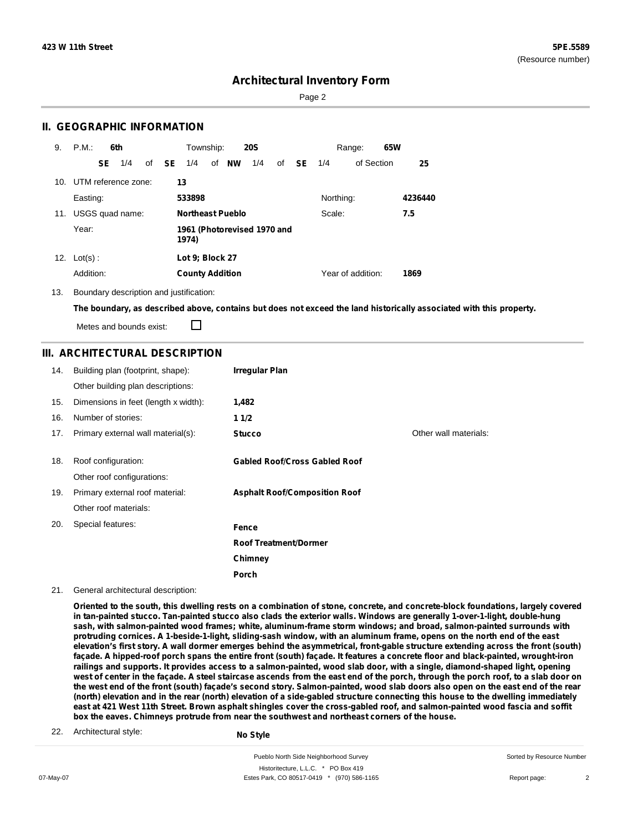Page 2

### **II. GEOGRAPHIC INFORMATION**

| 9.  | P.M.                    |           | 6th             |              | Township:              |                         | <b>20S</b>                  |    |           |           | Range:            | 65W |         |
|-----|-------------------------|-----------|-----------------|--------------|------------------------|-------------------------|-----------------------------|----|-----------|-----------|-------------------|-----|---------|
|     |                         | <b>SE</b> | 1/4             | of <b>SE</b> | 1/4                    | of NW                   | 1/4                         | of | <b>SE</b> | 1/4       | of Section        |     | 25      |
|     | 10. UTM reference zone: |           |                 |              | 13                     |                         |                             |    |           |           |                   |     |         |
|     | Easting:                |           |                 |              | 533898                 |                         |                             |    |           | Northing: |                   |     | 4236440 |
| 11. |                         |           | USGS quad name: |              |                        | <b>Northeast Pueblo</b> |                             |    |           | Scale:    |                   |     | 7.5     |
|     | Year:                   |           |                 |              | 1974)                  |                         | 1961 (Photorevised 1970 and |    |           |           |                   |     |         |
| 12. | $Lot(s)$ :              |           |                 |              | Lot 9; Block 27        |                         |                             |    |           |           |                   |     |         |
|     | Addition:               |           |                 |              | <b>County Addition</b> |                         |                             |    |           |           | Year of addition: |     | 1869    |

13. Boundary description and justification:

The boundary, as described above, contains but does not exceed the land historically associated with this property.

П Metes and bounds exist:

### **III. ARCHITECTURAL DESCRIPTION**

| 14. | Building plan (footprint, shape):    | <b>Irregular Plan</b>                |                       |
|-----|--------------------------------------|--------------------------------------|-----------------------|
|     | Other building plan descriptions:    |                                      |                       |
| 15. | Dimensions in feet (length x width): | 1,482                                |                       |
| 16. | Number of stories:                   | 11/2                                 |                       |
| 17. | Primary external wall material(s):   | <b>Stucco</b>                        | Other wall materials: |
|     |                                      |                                      |                       |
| 18. | Roof configuration:                  | <b>Gabled Roof/Cross Gabled Roof</b> |                       |
|     | Other roof configurations:           |                                      |                       |
| 19. | Primary external roof material:      | <b>Asphalt Roof/Composition Roof</b> |                       |
|     | Other roof materials:                |                                      |                       |
| 20. | Special features:                    | Fence                                |                       |
|     |                                      | <b>Roof Treatment/Dormer</b>         |                       |
|     |                                      | Chimney                              |                       |
|     |                                      | Porch                                |                       |

21. General architectural description:

Oriented to the south, this dwelling rests on a combination of stone, concrete, and concrete-block foundations, largely covered in tan-painted stucco. Tan-painted stucco also clads the exterior walls. Windows are generally 1-over-1-light, double-hung **sash, with salmon-painted wood frames; white, aluminum-frame storm windows; and broad, salmon-painted surrounds with** protruding cornices. A 1-beside-1-light, sliding-sash window, with an aluminum frame, opens on the north end of the east elevation's first story. A wall dormer emerges behind the asymmetrical, front-gable structure extending across the front (south) façade. A hipped-roof porch spans the entire front (south) façade. It features a concrete floor and black-painted, wrought-iron railings and supports. It provides access to a salmon-painted, wood slab door, with a single, diamond-shaped light, opening west of center in the façade. A steel staircase ascends from the east end of the porch, through the porch roof, to a slab door on the west end of the front (south) façade's second story. Salmon-painted, wood slab doors also open on the east end of the rear (north) elevation and in the rear (north) elevation of a side-gabled structure connecting this house to the dwelling immediately east at 421 West 11th Street. Brown asphalt shingles cover the cross-gabled roof, and salmon-painted wood fascia and soffit **box the eaves. Chimneys protrude from near the southwest and northeast corners of the house.**

22. Architectural style:

**No Style**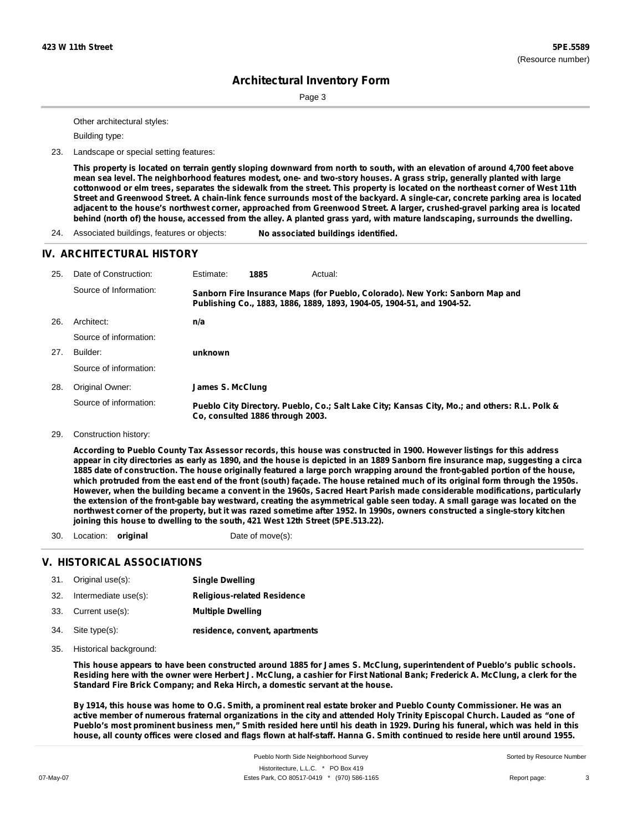Page 3

Other architectural styles:

Building type:

23. Landscape or special setting features:

This property is located on terrain gently sloping downward from north to south, with an elevation of around 4,700 feet above mean sea level. The neighborhood features modest, one- and two-story houses. A grass strip, generally planted with large cottonwood or elm trees, separates the sidewalk from the street. This property is located on the northeast corner of West 11th Street and Greenwood Street. A chain-link fence surrounds most of the backyard. A single-car, concrete parking area is located adjacent to the house's northwest corner, approached from Greenwood Street. A larger, crushed-gravel parking area is located behind (north of) the house, accessed from the alley. A planted grass yard, with mature landscaping, surrounds the dwelling.

24. Associated buildings, features or objects: **No associated buildings identified.**

### **IV. ARCHITECTURAL HISTORY**

| 25. | Date of Construction:  | Estimate:        | 1885                             | Actual:                                                                                                                                                 |
|-----|------------------------|------------------|----------------------------------|---------------------------------------------------------------------------------------------------------------------------------------------------------|
|     | Source of Information: |                  |                                  | Sanborn Fire Insurance Maps (for Pueblo, Colorado). New York: Sanborn Map and<br>Publishing Co., 1883, 1886, 1889, 1893, 1904-05, 1904-51, and 1904-52. |
| 26. | Architect:             | n/a              |                                  |                                                                                                                                                         |
|     | Source of information: |                  |                                  |                                                                                                                                                         |
| 27. | Builder:               | unknown          |                                  |                                                                                                                                                         |
|     | Source of information: |                  |                                  |                                                                                                                                                         |
| 28. | Original Owner:        | James S. McClung |                                  |                                                                                                                                                         |
|     | Source of information: |                  | Co, consulted 1886 through 2003. | Pueblo City Directory. Pueblo, Co.; Salt Lake City; Kansas City, Mo.; and others: R.L. Polk &                                                           |

#### 29. Construction history:

According to Pueblo County Tax Assessor records, this house was constructed in 1900. However listings for this address appear in city directories as early as 1890, and the house is depicted in an 1889 Sanborn fire insurance map, suggesting a circa 1885 date of construction. The house originally featured a large porch wrapping around the front-gabled portion of the house, which protruded from the east end of the front (south) façade. The house retained much of its original form through the 1950s. However, when the building became a convent in the 1960s, Sacred Heart Parish made considerable modifications, particularly the extension of the front-gable bay westward, creating the asymmetrical gable seen today. A small garage was located on the northwest corner of the property, but it was razed sometime after 1952. In 1990s, owners constructed a single-story kitchen **joining this house to dwelling to the south, 421 West 12th Street (5PE.513.22).**

30. Location: **original** Date of move(s):

### **V. HISTORICAL ASSOCIATIONS**

| 31. | Original use(s):     | <b>Single Dwelling</b>             |
|-----|----------------------|------------------------------------|
| 32. | Intermediate use(s): | <b>Religious-related Residence</b> |

- 33. Current use(s): **Multiple Dwelling**
- **residence, convent, apartments** Site type(s): 34.
- 35. Historical background:

This house appears to have been constructed around 1885 for James S. McClung, superintendent of Pueblo's public schools. Residing here with the owner were Herbert J. McClung, a cashier for First National Bank; Frederick A. McClung, a clerk for the **Standard Fire Brick Company; and Reka Hirch, a domestic servant at the house.**

By 1914, this house was home to O.G. Smith, a prominent real estate broker and Pueblo County Commissioner. He was an active member of numerous fraternal organizations in the city and attended Holy Trinity Episcopal Church. Lauded as "one of Pueblo's most prominent business men," Smith resided here until his death in 1929. During his funeral, which was held in this house, all county offices were closed and flags flown at half-staff. Hanna G. Smith continued to reside here until around 1955.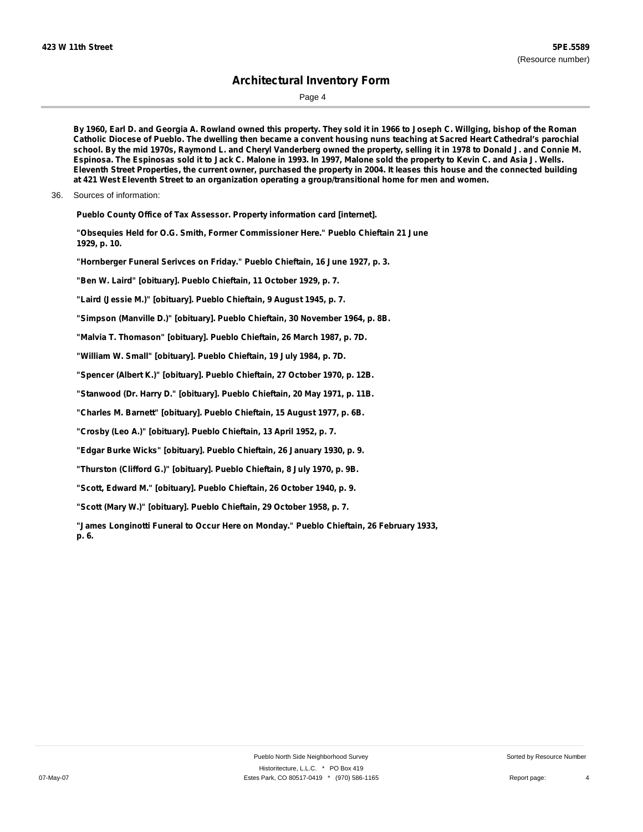Page 4

By 1960, Earl D. and Georgia A. Rowland owned this property. They sold it in 1966 to Joseph C. Willging, bishop of the Roman Catholic Diocese of Pueblo. The dwelling then became a convent housing nuns teaching at Sacred Heart Cathedral's parochial school. By the mid 1970s, Raymond L. and Cheryl Vanderberg owned the property, selling it in 1978 to Donald J. and Connie M. Espinosa. The Espinosas sold it to Jack C. Malone in 1993. In 1997, Malone sold the property to Kevin C. and Asia J. Wells. Eleventh Street Properties, the current owner, purchased the property in 2004. It leases this house and the connected building **at 421 West Eleventh Street to an organization operating a group/transitional home for men and women.**

36. Sources of information:

**Pueblo County Office of Tax Assessor. Property information card [internet].**

- **"Obsequies Held for O.G. Smith, Former Commissioner Here." Pueblo Chieftain 21 June 1929, p. 10.**
- **"Hornberger Funeral Serivces on Friday." Pueblo Chieftain, 16 June 1927, p. 3.**

**"Ben W. Laird" [obituary]. Pueblo Chieftain, 11 October 1929, p. 7.**

**"Laird (Jessie M.)" [obituary]. Pueblo Chieftain, 9 August 1945, p. 7.**

**"Simpson (Manville D.)" [obituary]. Pueblo Chieftain, 30 November 1964, p. 8B.**

**"Malvia T. Thomason" [obituary]. Pueblo Chieftain, 26 March 1987, p. 7D.**

**"William W. Small" [obituary]. Pueblo Chieftain, 19 July 1984, p. 7D.**

**"Spencer (Albert K.)" [obituary]. Pueblo Chieftain, 27 October 1970, p. 12B.**

**"Stanwood (Dr. Harry D." [obituary]. Pueblo Chieftain, 20 May 1971, p. 11B.**

**"Charles M. Barnett" [obituary]. Pueblo Chieftain, 15 August 1977, p. 6B.**

**"Crosby (Leo A.)" [obituary]. Pueblo Chieftain, 13 April 1952, p. 7.**

**"Edgar Burke Wicks" [obituary]. Pueblo Chieftain, 26 January 1930, p. 9.**

**"Thurston (Clifford G.)" [obituary]. Pueblo Chieftain, 8 July 1970, p. 9B.**

**"Scott, Edward M." [obituary]. Pueblo Chieftain, 26 October 1940, p. 9.**

**"Scott (Mary W.)" [obituary]. Pueblo Chieftain, 29 October 1958, p. 7.**

**"James Longinotti Funeral to Occur Here on Monday." Pueblo Chieftain, 26 February 1933, p. 6.**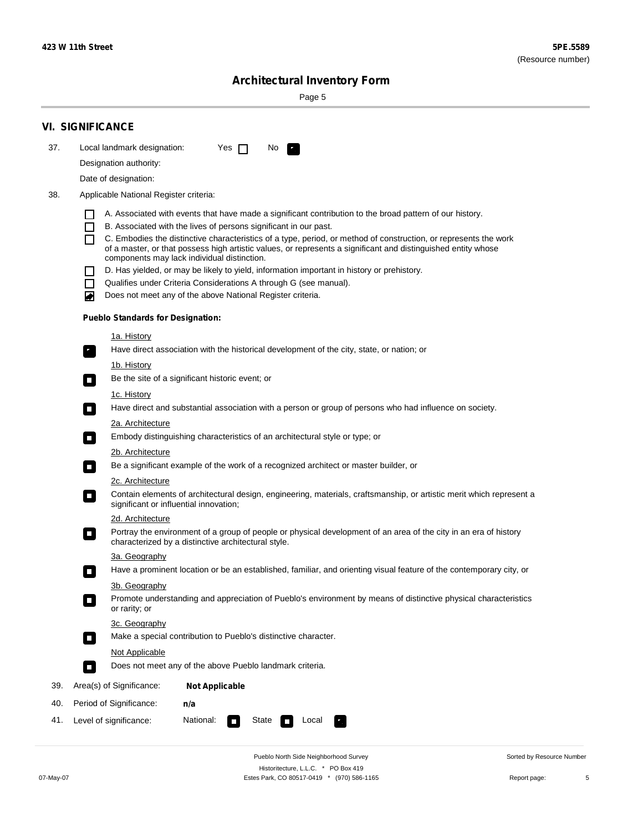Page 5

|     | <b>VI. SIGNIFICANCE</b>                                                                                                                                                           |
|-----|-----------------------------------------------------------------------------------------------------------------------------------------------------------------------------------|
| 37. | Local landmark designation:<br>Yes $\Box$<br>No.<br>HE 1                                                                                                                          |
|     | Designation authority:                                                                                                                                                            |
|     | Date of designation:                                                                                                                                                              |
| 38. | Applicable National Register criteria:                                                                                                                                            |
|     |                                                                                                                                                                                   |
|     | A. Associated with events that have made a significant contribution to the broad pattern of our history.<br>П<br>B. Associated with the lives of persons significant in our past. |
|     | C. Embodies the distinctive characteristics of a type, period, or method of construction, or represents the work<br>П                                                             |
|     | of a master, or that possess high artistic values, or represents a significant and distinguished entity whose<br>components may lack individual distinction.                      |
|     | D. Has yielded, or may be likely to yield, information important in history or prehistory.                                                                                        |
|     | Qualifies under Criteria Considerations A through G (see manual).<br>$\Box$                                                                                                       |
|     | Does not meet any of the above National Register criteria.<br>◚                                                                                                                   |
|     | <b>Pueblo Standards for Designation:</b>                                                                                                                                          |
|     | 1a. History                                                                                                                                                                       |
|     | Have direct association with the historical development of the city, state, or nation; or<br>$\mathbf{r}_1$                                                                       |
|     | 1b. History                                                                                                                                                                       |
|     | Be the site of a significant historic event; or<br>$\overline{\phantom{a}}$                                                                                                       |
|     | 1c. History                                                                                                                                                                       |
|     | Have direct and substantial association with a person or group of persons who had influence on society.<br>$\overline{\phantom{a}}$                                               |
|     | <u>2a. Architecture</u>                                                                                                                                                           |
|     | Embody distinguishing characteristics of an architectural style or type; or<br>о                                                                                                  |
|     | 2b. Architecture                                                                                                                                                                  |
|     | Be a significant example of the work of a recognized architect or master builder, or<br>$\Box$                                                                                    |
|     | 2c. Architecture<br>Contain elements of architectural design, engineering, materials, craftsmanship, or artistic merit which represent a                                          |
|     | $\Box$<br>significant or influential innovation;                                                                                                                                  |
|     | 2d. Architecture<br>Portray the environment of a group of people or physical development of an area of the city in an era of history                                              |
|     | $\Box$<br>characterized by a distinctive architectural style.                                                                                                                     |
|     | 3a. Geography                                                                                                                                                                     |
|     | Have a prominent location or be an established, familiar, and orienting visual feature of the contemporary city, or                                                               |
|     | 3b. Geography                                                                                                                                                                     |
|     | Promote understanding and appreciation of Pueblo's environment by means of distinctive physical characteristics<br>$\Box$<br>or rarity; or                                        |
|     | 3c. Geography                                                                                                                                                                     |
|     | Make a special contribution to Pueblo's distinctive character.<br>$\overline{\phantom{a}}$                                                                                        |
|     | Not Applicable                                                                                                                                                                    |
|     | Does not meet any of the above Pueblo landmark criteria.<br>$\Box$                                                                                                                |
| 39. | Area(s) of Significance:<br><b>Not Applicable</b>                                                                                                                                 |
| 40. | Period of Significance:<br>n/a                                                                                                                                                    |
| 41. | National:<br>Level of significance:<br>State<br>Local<br>$\overline{\phantom{a}}$                                                                                                 |

Pueblo North Side Neighborhood Survey Historitecture, L.L.C. \* PO Box 419 07-May-07 Estes Park, CO 80517-0419 \* (970) 586-1165 Report page: 5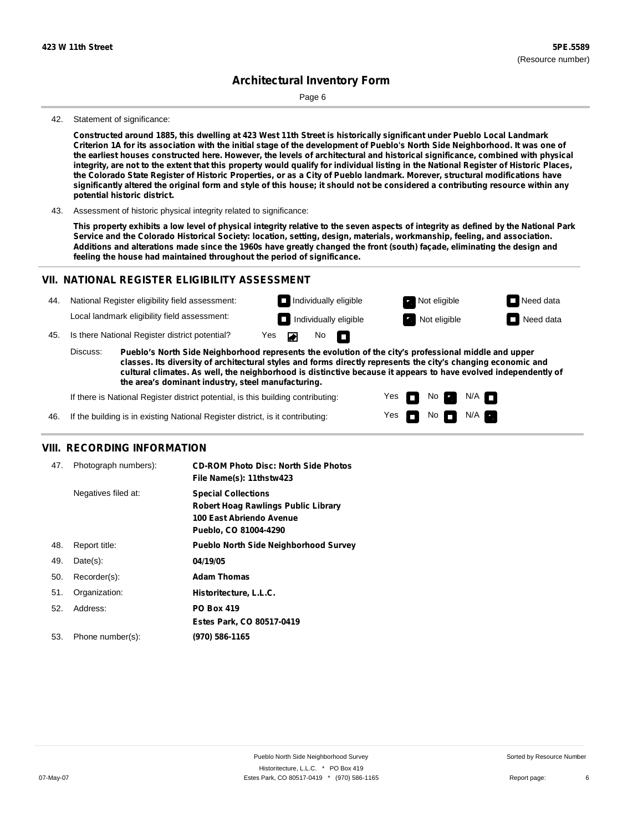Page 6

#### 42. Statement of significance:

Constructed around 1885, this dwelling at 423 West 11th Street is historically significant under Pueblo Local Landmark Criterion 1A for its association with the initial stage of the development of Pueblo's North Side Neighborhood. It was one of the earliest houses constructed here. However, the levels of architectural and historical significance, combined with physical integrity, are not to the extent that this property would qualify for individual listing in the National Register of Historic Places, the Colorado State Register of Historic Properties, or as a City of Pueblo landmark. Morever, structural modifications have significantly altered the original form and style of this house; it should not be considered a contributing resource within any **potential historic district.**

43. Assessment of historic physical integrity related to significance:

This property exhibits a low level of physical integrity relative to the seven aspects of integrity as defined by the National Park **Service and the Colorado Historical Society: location, setting, design, materials, workmanship, feeling, and association.** Additions and alterations made since the 1960s have greatly changed the front (south) façade, eliminating the design and **feeling the house had maintained throughout the period of significance.**

### **VII. NATIONAL REGISTER ELIGIBILITY ASSESSMENT**

| 44. |  |  |  |  | National Register eligibility field assessment: |
|-----|--|--|--|--|-------------------------------------------------|
|-----|--|--|--|--|-------------------------------------------------|

Local landmark eligibility field assessment:

45. Is there National Register district potential? Yes

**Pueblo's North Side Neighborhood represents the evolution of the city's professional middle and upper classes. Its diversity of architectural styles and forms directly represents the city's changing economic and cultural climates. As well, the neighborhood is distinctive because it appears to have evolved independently of the area's dominant industry, steel manufacturing.** Discuss:

No

П

 $\blacksquare$ 

Yes Yes

n

No **Ex** 

**Individually eligible Not eligible** Not eligible **Need data Individually eligible Not eligible Not eligible Need data** 

 $\blacksquare$  No  $\blacksquare$  N/A  $\blacksquare$ 

 $N/A$   $\blacksquare$ 

If there is National Register district potential, is this building contributing:

If the building is in existing National Register district, is it contributing: 46.

### **VIII. RECORDING INFORMATION**

| 47. | Photograph numbers): | <b>CD-ROM Photo Disc: North Side Photos</b><br>File Name(s): 11thstw423                                                       |
|-----|----------------------|-------------------------------------------------------------------------------------------------------------------------------|
|     | Negatives filed at:  | <b>Special Collections</b><br><b>Robert Hoag Rawlings Public Library</b><br>100 East Abriendo Avenue<br>Pueblo, CO 81004-4290 |
| 48. | Report title:        | <b>Pueblo North Side Neighborhood Survey</b>                                                                                  |
| 49. | $Date(s)$ :          | 04/19/05                                                                                                                      |
| 50. | Recorder(s):         | <b>Adam Thomas</b>                                                                                                            |
| 51. | Organization:        | Historitecture, L.L.C.                                                                                                        |
| 52. | Address:             | <b>PO Box 419</b>                                                                                                             |
|     |                      | Estes Park, CO 80517-0419                                                                                                     |
| 53. | Phone number(s):     | (970) 586-1165                                                                                                                |
|     |                      |                                                                                                                               |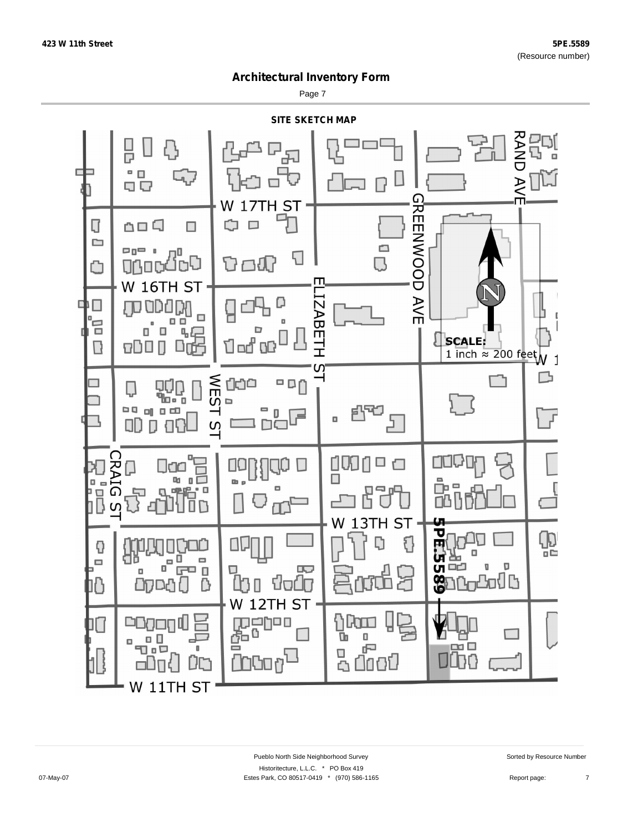Page 7